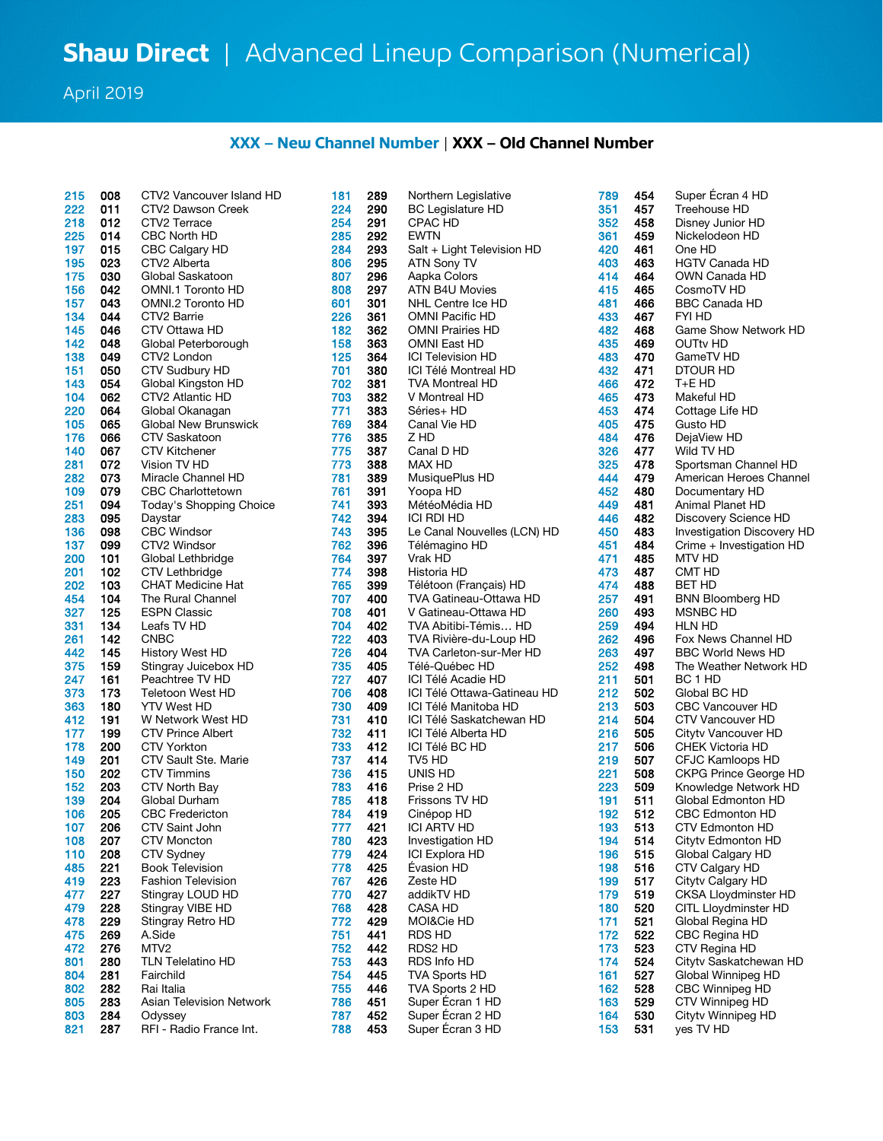April 2019

## **XXX – New Channel Number** | **XXX – Old Channel Number**

| 215        | 008 | CTV2 Vancouver Island HD        | 181 | 289 | Northern Legislative      |
|------------|-----|---------------------------------|-----|-----|---------------------------|
| 222        | 011 | CTV2 Dawson Creek               | 224 | 290 | <b>BC Legislature HD</b>  |
| 218        | 012 | CTV2 Terrace                    | 254 | 291 | CPAC HD                   |
| 225        | 014 | CBC North HD                    | 285 | 292 | EWTN                      |
| 197        | 015 | CBC Calgary HD                  | 284 | 293 | Salt + Light Televisio    |
| 195        | 023 | CTV2 Alberta                    | 806 | 295 | ATN Sony TV               |
| 175        | 030 | Global Saskatoon                | 807 | 296 | Aapka Colors              |
| 156        | 042 | OMNI.1 Toronto HD               | 808 | 297 | ATN B4U Movies            |
| 157        |     |                                 | 601 |     |                           |
|            | 043 | OMNI.2 Toronto HD               |     | 301 | NHL Centre Ice HD         |
| 134        | 044 | CTV2 Barrie                     | 226 | 361 | <b>OMNI Pacific HD</b>    |
| 145<br>142 | 046 | CTV Ottawa HD                   | 182 | 362 | <b>OMNI Prairies HD</b>   |
|            | 048 | Global Peterborough             | 158 | 363 | <b>OMNI East HD</b>       |
| 138        | 049 | CTV2 London                     | 125 | 364 | <b>ICI Television HD</b>  |
| 151        | 050 | CTV Sudbury HD                  | 701 | 380 | ICI Télé Montreal HD      |
| 143        | 054 | Global Kingston HD              | 702 | 381 | <b>TVA Montreal HD</b>    |
| 104        | 062 | CTV2 Atlantic HD                | 703 | 382 | V Montreal HD             |
| 220        | 064 | Global Okanagan                 | 771 | 383 | Séries+ HD                |
| 105        | 065 | Global New Brunswick            | 769 | 384 | Canal Vie HD              |
| 176        | 066 | CTV Saskatoon                   | 776 | 385 | Z HD                      |
| 140        | 067 | <b>CTV Kitchener</b>            | 775 | 387 | Canal D HD                |
| 281        | 072 | Vision TV HD                    | 773 | 388 | MAX HD                    |
| 282        | 073 | Miracle Channel HD              | 781 | 389 | MusiquePlus HD            |
| 109        | 079 | <b>CBC Charlottetown</b>        | 761 | 391 | Yoopa HD                  |
| 251        | 094 | Today's Shopping Choice         | 741 | 393 | MétéoMédia HD             |
| 283        | 095 | Daystar                         | 742 | 394 | <b>ICI RDI HD</b>         |
| 136        | 098 | <b>CBC Windsor</b>              | 743 | 395 | Le Canal Nouvelles        |
| 137        | 099 | CTV2 Windsor                    | 762 | 396 | Télémagino HD             |
| 200        | 101 | Global Lethbridge               | 764 | 397 | Vrak HD                   |
| 201        | 102 | <b>CTV Lethbridge</b>           | 774 | 398 | Historia HD               |
| 202        | 103 | <b>CHAT Medicine Hat</b>        | 765 | 399 | Télétoon (Français) I     |
| 454        | 104 | The Rural Channel               | 707 | 400 | <b>TVA Gatineau-Ottaw</b> |
| 327        | 125 | <b>ESPN Classic</b>             | 708 | 401 | V Gatineau-Ottawa I       |
| 331        | 134 | Leafs TV HD                     | 704 | 402 | TVA Abitibi-Témis         |
| 261        | 142 | <b>CNBC</b>                     | 722 | 403 | TVA Rivière-du-Lour       |
| 442        | 145 | History West HD                 | 726 | 404 | <b>TVA Carleton-sur-M</b> |
| 375        | 159 | Stingray Juicebox HD            | 735 | 405 | Télé-Québec HD            |
| 247        | 161 | Peachtree TV HD                 | 727 | 407 | ICI Télé Acadie HD        |
| 373        | 173 | <b>Teletoon West HD</b>         | 706 | 408 | ICI Télé Ottawa-Gati      |
| 363        | 180 | <b>YTV West HD</b>              | 730 | 409 | ICI Télé Manitoba HI      |
| 412        | 191 | W Network West HD               | 731 | 410 | ICI Télé Saskatchew       |
| 177        | 199 | <b>CTV Prince Albert</b>        | 732 | 411 | ICI Télé Alberta HD       |
| 178        | 200 | CTV Yorkton                     | 733 | 412 | ICI Télé BC HD            |
| 149        | 201 | <b>CTV Sault Ste. Marie</b>     | 737 | 414 | TV5 HD                    |
| 150        | 202 | <b>CTV Timmins</b>              | 736 | 415 | UNIS HD                   |
| 152        | 203 | CTV North Bay                   | 783 | 416 | Prise 2 HD                |
| 139        | 204 | Global Durham                   | 785 | 418 | Frissons TV HD            |
| 106        | 205 | <b>CBC Fredericton</b>          | 784 | 419 | Cinépop HD                |
| 107        | 206 | CTV Saint John                  | 777 | 421 | ICI ARTV HD               |
| 108        | 207 | <b>CTV Moncton</b>              | 780 | 423 | Investigation HD          |
| 110        | 208 | <b>CTV Sydney</b>               | 779 | 424 | ICI Explora HD            |
| 485        | 221 | <b>Book Television</b>          | 778 | 425 | Évasion HD                |
| 419        | 223 | <b>Fashion Television</b>       | 767 | 426 | Zeste HD                  |
| 477        | 227 | Stingray LOUD HD                | 770 | 427 | addikTV HD                |
| 479        | 228 | Stingray VIBE HD                | 768 | 428 | <b>CASA HD</b>            |
| 478        | 229 | Stingray Retro HD               | 772 | 429 | MOI&Cie HD                |
| 475        | 269 | A.Side                          | 751 | 441 | RDS HD                    |
| 472        | 276 | MTV2                            | 752 | 442 | RDS2 HD                   |
| 801        | 280 | TLN Telelatino HD               | 753 | 443 | RDS Info HD               |
| 804        | 281 | Fairchild                       | 754 | 445 | TVA Sports HD             |
| 802        | 282 | Rai Italia                      | 755 | 446 | TVA Sports 2 HD           |
| 805        | 283 | <b>Asian Television Network</b> | 786 | 451 | Super Écran 1 HD          |
| 803        | 284 | Odyssey                         | 787 | 452 | Super Écran 2 HD          |
| 821        | 287 | RFI - Radio France Int.         | 788 | 453 | Super Écran 3 HD          |

| -<br>222   | 011        | CTV2 Dawson Creek               | .<br>224   | 290        | 1101110111110010111100<br><b>BC Legislature HD</b> | .<br>351   | <br>457    | $-$<br>Treehouse HD                          |
|------------|------------|---------------------------------|------------|------------|----------------------------------------------------|------------|------------|----------------------------------------------|
| 218        | 012        | CTV2 Terrace                    | 254        | 291        | CPAC HD                                            | 352        | 458        | Disney Junior HD                             |
| 225        | 014        | CBC North HD                    | 285        | 292        | <b>EWTN</b>                                        | 361        | 459        | Nickelodeon HD                               |
| 197        | 015        | CBC Calgary HD                  | 284        | 293        | Salt + Light Television HD                         | 420        | 461        | One HD                                       |
| 195        | 023        | CTV2 Alberta                    | 806        | 295        | ATN Sony TV                                        | 403        | 463        | <b>HGTV Canada HD</b>                        |
| 175        | 030        | Global Saskatoon                | 807        | 296        | Aapka Colors                                       | 414        | 464        | OWN Canada HD                                |
| 156        | 042        | OMNI.1 Toronto HD               | 808        | 297        | ATN B4U Movies                                     | 415        | 465        | CosmoTV HD                                   |
| 157        | 043        | OMNI.2 Toronto HD               | 601        | 301        | NHL Centre Ice HD                                  | 481        | 466        | <b>BBC Canada HD</b>                         |
| 134        | 044        | CTV2 Barrie                     | 226        | 361        | OMNI Pacific HD                                    | 433        | 467        | FYI HD                                       |
| 145        | 046        | CTV Ottawa HD                   | 182        | 362        | <b>OMNI Prairies HD</b>                            | 482        | 468        | Game Show Network HD                         |
| 142        | 048        | Global Peterborough             | 158        | 363        | <b>OMNI East HD</b>                                | 435        | 469        | OUTty HD                                     |
| 138        | 049        | CTV2 London                     | 125        | 364        | <b>ICI Television HD</b>                           | 483        | 470        | GameTV HD                                    |
| 151        | 050        | CTV Sudbury HD                  | 701        | 380        | ICI Télé Montreal HD                               | 432        | 471        | DTOUR HD                                     |
| 143        | 054        | Global Kingston HD              | 702        | 381        | TVA Montreal HD                                    | 466        | 472        | T+E HD                                       |
| 104        | 062        | CTV2 Atlantic HD                | 703        | 382        | V Montreal HD                                      | 465        | 473        | Makeful HD                                   |
| 220        | 064        | Global Okanagan                 | 771        | 383        | Séries+ HD                                         | 453        | 474        | Cottage Life HD                              |
| 105        | 065        | Global New Brunswick            | 769        | 384        | Canal Vie HD                                       | 405        | 475        | Gusto HD                                     |
| 176        | 066        | CTV Saskatoon                   | 776        | 385        | Z HD                                               | 484        | 476        | DejaView HD                                  |
| 140        | 067        | <b>CTV Kitchener</b>            | 775        | 387        | Canal D HD                                         | 326        | 477        | Wild TV HD                                   |
| 281        | 072        | Vision TV HD                    | 773        | 388        | MAX HD                                             | 325        | 478        | Sportsman Channel HD                         |
| 282        | 073        | Miracle Channel HD              | 781        | 389        | MusiquePlus HD                                     | 444        | 479        | American Heroes Channel                      |
| 109        | 079        | <b>CBC Charlottetown</b>        | 761        | 391        | Yoopa HD                                           | 452        | 480        | Documentary HD                               |
| 251        | 094        | Today's Shopping Choice         | 741        | 393        | MétéoMédia HD                                      | 449        | 481        | Animal Planet HD                             |
| 283        | 095        | Daystar                         | 742        | 394        | ICI RDI HD                                         | 446        | 482        | Discovery Science HD                         |
| 136        | 098        | CBC Windsor                     | 743        | 395        | Le Canal Nouvelles (LCN) HD                        | 450        | 483        | <b>Investigation Discovery HD</b>            |
| 137        | 099        | CTV2 Windsor                    | 762        | 396        | Télémagino HD                                      | 451        | 484        | Crime + Investigation HD                     |
| 200        | 101        | Global Lethbridge               | 764        | 397        | Vrak HD                                            | 471        | 485        | MTV HD                                       |
| 201        | 102        | <b>CTV Lethbridge</b>           | 774        | 398        | Historia HD                                        | 473        | 487        | CMT HD                                       |
| 202        | 103        | <b>CHAT Medicine Hat</b>        | 765        | 399        | Télétoon (Français) HD                             | 474        | 488        | BET HD                                       |
| 454        | 104        | The Rural Channel               | 707        | 400        | TVA Gatineau-Ottawa HD                             | 257        | 491        | <b>BNN Bloomberg HD</b>                      |
| 327        | 125        | <b>ESPN Classic</b>             | 708        | 401        | V Gatineau-Ottawa HD                               | 260        | 493        | MSNBC HD                                     |
| 331        | 134        | Leafs TV HD                     | 704        | 402        | TVA Abitibi-Témis HD                               | 259        | 494        | HLN HD                                       |
| 261        | 142        | <b>CNBC</b>                     | 722        | 403        | TVA Rivière-du-Loup HD                             | 262        | 496        | Fox News Channel HD                          |
| 442        | 145        | History West HD                 | 726        | 404        | TVA Carleton-sur-Mer HD                            | 263        | 497        | <b>BBC World News HD</b>                     |
| 375        | 159        | Stingray Juicebox HD            | 735        | 405        | Télé-Québec HD                                     | 252        | 498        | The Weather Network HD                       |
| 247        | 161        | Peachtree TV HD                 | 727        | 407        | ICI Télé Acadie HD                                 | 211        | 501        | BC 1 HD                                      |
| 373        | 173        | Teletoon West HD                | 706        | 408        | ICI Télé Ottawa-Gatineau HD                        | 212        | 502        | Global BC HD                                 |
| 363        | 180        | <b>YTV West HD</b>              | 730        | 409        | ICI Télé Manitoba HD                               | 213        | 503        | <b>CBC Vancouver HD</b>                      |
| 412        | 191        | W Network West HD               | 731        | 410        | ICI Télé Saskatchewan HD                           | 214        | 504        | CTV Vancouver HD                             |
| 177        | 199        | <b>CTV Prince Albert</b>        | 732        | 411        | ICI Télé Alberta HD                                | 216        | 505        | Citytv Vancouver HD                          |
| 178        | 200        | <b>CTV Yorkton</b>              | 733        | 412        | ICI Télé BC HD                                     | 217        | 506        | <b>CHEK Victoria HD</b>                      |
| 149        | 201        | CTV Sault Ste. Marie            | 737        | 414        | TV5 HD                                             | 219        | 507        | CFJC Kamloops HD                             |
| 150        | 202        | CTV Timmins                     | 736        | 415        | UNIS HD                                            | 221        | 508        | <b>CKPG Prince George HD</b>                 |
| 152        | 203        | CTV North Bay                   | 783        | 416        | Prise 2 HD                                         | 223        | 509        | Knowledge Network HD                         |
| 139        | 204        | Global Durham                   | 785        | 418        | Frissons TV HD                                     | 191        | 511        | Global Edmonton HD                           |
| 106        | 205        | <b>CBC</b> Fredericton          | 784        | 419        | Cinépop HD                                         | 192        | 512        | <b>CBC Edmonton HD</b>                       |
| 107        | 206        | CTV Saint John                  | 777        | 421        | <b>ICI ARTV HD</b>                                 | 193        | 513        | CTV Edmonton HD                              |
| 108        | 207        | <b>CTV Moncton</b>              | 780        | 423        | <b>Investigation HD</b>                            | 194        | 514        | Cityty Edmonton HD                           |
| 110        | 208        | CTV Sydney                      | 779        | 424        | ICI Explora HD                                     | 196        | 515        | Global Calgary HD                            |
| 485        | 221        | <b>Book Television</b>          | 778        | 425        | Évasion HD                                         | 198        | 516        | CTV Calgary HD                               |
| 419        | 223        | <b>Fashion Television</b>       | 767        | 426        | Zeste HD                                           | 199        | 517        | Cityty Calgary HD                            |
| 477        | 227        | Stingray LOUD HD                | 770        | 427        | addikTV HD                                         | 179        | 519        | <b>CKSA Lloydminster HD</b>                  |
| 479        | 228        | Stingray VIBE HD                | 768        | 428        | <b>CASA HD</b>                                     | 180        | 520        | CITL Lloydminster HD                         |
| 478        | 229        | Stingray Retro HD               | 772        | 429        | MOI&Cie HD                                         | 171        | 521        | Global Regina HD                             |
| 475        | 269        | A.Side                          | 751        | 441        | RDS HD                                             | 172        | 522        | CBC Regina HD                                |
| 472        | 276        | MTV <sub>2</sub>                | 752        | 442        | RDS2 HD                                            | 173        | 523        | CTV Regina HD                                |
| 801        | 280        | <b>TLN Telelatino HD</b>        | 753        | 443        | RDS Info HD                                        | 174        | 524        | Cityty Saskatchewan HD<br>Global Winnipeg HD |
| 804        | 281        | Fairchild<br>Rai Italia         | 754        | 445        | <b>TVA Sports HD</b><br>TVA Sports 2 HD            | 161        | 527        |                                              |
| 802<br>805 | 282<br>283 | <b>Asian Television Network</b> | 755<br>786 | 446<br>451 | Super Ecran 1 HD                                   | 162<br>163 | 528<br>529 | <b>CBC Winnipeg HD</b><br>CTV Winnipeg HD    |
|            | 284        | Odyssey                         | 787        | 452        | Super Écran 2 HD                                   | 164        | 530        | Cityty Winnipeg HD                           |
| 803<br>821 | 287        | RFI - Radio France Int.         | 788        | 453        | Super Écran 3 HD                                   | 153        | 531        | yes TV HD                                    |
|            |            |                                 |            |            |                                                    |            |            |                                              |

| 789 | 454 | Super Écran 4 HD                  |
|-----|-----|-----------------------------------|
| 351 | 457 | Treehouse HD                      |
| 352 | 458 | Disney Junior HD                  |
| 361 | 459 | Nickelodeon HD                    |
| 420 | 461 | One HD                            |
| 403 | 463 | <b>HGTV Canada HD</b>             |
| 414 | 464 | OWN Canada HD                     |
| 415 | 465 | CosmoTV HD                        |
| 481 | 466 | <b>BBC Canada HD</b>              |
| 433 | 467 | FYI HD                            |
| 482 | 468 | Game Show Network HD              |
| 435 | 469 | <b>OUTtv HD</b>                   |
| 483 | 470 | GameTV HD                         |
| 432 | 471 | DTOUR HD                          |
| 466 | 472 | T+E HD                            |
| 465 | 473 | Makeful HD                        |
| 453 |     |                                   |
|     | 474 | Cottage Life HD                   |
| 405 | 475 | Gusto HD                          |
| 484 | 476 | DejaView HD                       |
| 326 | 477 | Wild TV HD                        |
| 325 | 478 | Sportsman Channel HD              |
| 444 | 479 | American Heroes Channe            |
| 452 | 480 | Documentary HD                    |
| 449 | 481 | Animal Planet HD                  |
| 446 | 482 | Discovery Science HD              |
| 450 | 483 | <b>Investigation Discovery HI</b> |
| 451 | 484 | Crime + Investigation HD          |
| 471 | 485 | MTV HD                            |
| 473 | 487 | CMT HD                            |
| 474 | 488 | <b>BET HD</b>                     |
| 257 | 491 | <b>BNN Bloomberg HD</b>           |
| 260 | 493 | MSNBC HD                          |
| 259 | 494 | HLN HD                            |
| 262 | 496 | Fox News Channel HD               |
| 263 | 497 | <b>BBC World News HD</b>          |
| 252 | 498 | The Weather Network HD            |
| 211 | 501 | BC <sub>1</sub> HD                |
| 212 | 502 | Global BC HD                      |
| 213 | 503 | <b>CBC Vancouver HD</b>           |
| 214 | 504 | <b>CTV Vancouver HD</b>           |
| 216 | 505 | Citytv Vancouver HD               |
| 217 | 506 | <b>CHEK Victoria HD</b>           |
| 219 | 507 | CFJC Kamloops HD                  |
| 221 | 508 | <b>CKPG Prince George HD</b>      |
| 223 | 509 | Knowledge Network HD              |
| 191 | 511 | Global Edmonton HD                |
| 192 | 512 | <b>CBC Edmonton HD</b>            |
| 193 | 513 | <b>CTV Edmonton HD</b>            |
| 194 | 514 | Citytv Edmonton HD                |
| 196 | 515 | Global Calgary HD                 |
| 198 | 516 | CTV Calgary HD                    |
| 199 | 517 | Citytv Calgary HD                 |
| 179 | 519 | <b>CKSA Lloydminster HD</b>       |
| 180 | 520 | CITL Lloydminster HD              |
| 171 | 521 | Global Regina HD                  |
| 172 | 522 | CBC Regina HD                     |
| 173 | 523 | CTV Regina HD                     |
| 174 | 524 | Citytv Saskatchewan HD            |
| 161 | 527 | Global Winnipeg HD                |
| 162 | 528 | <b>CBC Winnipeg HD</b>            |
| 163 | 529 | CTV Winnipeg HD                   |
| 164 | 530 | Citytv Winnipeg HD                |
| 153 | 531 | yes TV HD                         |